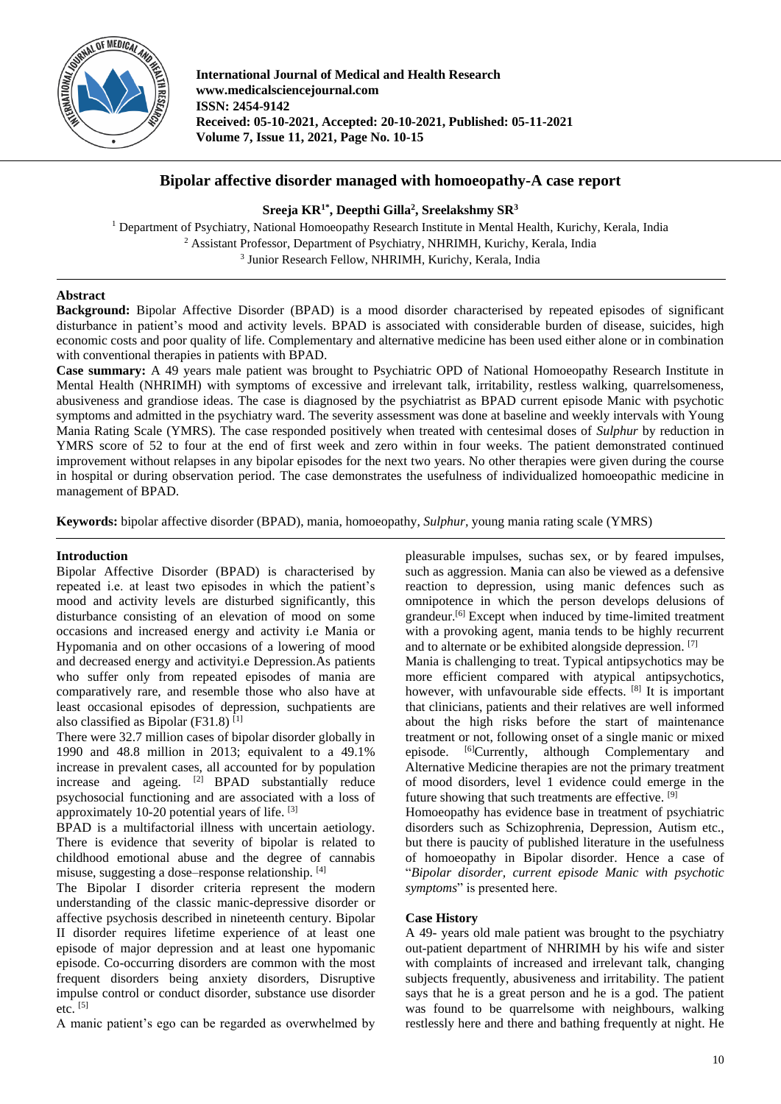

**International Journal of Medical and Health Research www.medicalsciencejournal.com ISSN: 2454-9142 Received: 05-10-2021, Accepted: 20-10-2021, Published: 05-11-2021 Volume 7, Issue 11, 2021, Page No. 10-15**

# **Bipolar affective disorder managed with homoeopathy-A case report**

# **Sreeja KR1\* , Deepthi Gilla<sup>2</sup> , Sreelakshmy SR<sup>3</sup>**

<sup>1</sup> Department of Psychiatry, National Homoeopathy Research Institute in Mental Health, Kurichy, Kerala, India <sup>2</sup> Assistant Professor, Department of Psychiatry, NHRIMH, Kurichy, Kerala, India 3 Junior Research Fellow, NHRIMH, Kurichy, Kerala, India

# **Abstract**

**Background:** Bipolar Affective Disorder (BPAD) is a mood disorder characterised by repeated episodes of significant disturbance in patient's mood and activity levels. BPAD is associated with considerable burden of disease, suicides, high economic costs and poor quality of life. Complementary and alternative medicine has been used either alone or in combination with conventional therapies in patients with BPAD.

**Case summary:** A 49 years male patient was brought to Psychiatric OPD of National Homoeopathy Research Institute in Mental Health (NHRIMH) with symptoms of excessive and irrelevant talk, irritability, restless walking, quarrelsomeness, abusiveness and grandiose ideas. The case is diagnosed by the psychiatrist as BPAD current episode Manic with psychotic symptoms and admitted in the psychiatry ward. The severity assessment was done at baseline and weekly intervals with Young Mania Rating Scale (YMRS). The case responded positively when treated with centesimal doses of *Sulphur* by reduction in YMRS score of 52 to four at the end of first week and zero within in four weeks. The patient demonstrated continued improvement without relapses in any bipolar episodes for the next two years. No other therapies were given during the course in hospital or during observation period. The case demonstrates the usefulness of individualized homoeopathic medicine in management of BPAD.

**Keywords:** bipolar affective disorder (BPAD), mania, homoeopathy, *Sulphur,* young mania rating scale (YMRS)

# **Introduction**

Bipolar Affective Disorder (BPAD) is characterised by repeated i.e. at least two episodes in which the patient's mood and activity levels are disturbed significantly, this disturbance consisting of an elevation of mood on some occasions and increased energy and activity i.e Mania or Hypomania and on other occasions of a lowering of mood and decreased energy and activityi.e Depression.As patients who suffer only from repeated episodes of mania are comparatively rare, and resemble those who also have at least occasional episodes of depression, suchpatients are also classified as Bipolar  $(F31.8)^{[1]}$ 

There were 32.7 million cases of bipolar disorder globally in 1990 and 48.8 million in 2013; equivalent to a 49.1% increase in prevalent cases, all accounted for by population increase and ageing.  $[2]$  BPAD substantially reduce psychosocial functioning and are associated with a loss of approximately 10-20 potential years of life. [3]

BPAD is a multifactorial illness with uncertain aetiology. There is evidence that severity of bipolar is related to childhood emotional abuse and the degree of cannabis misuse, suggesting a dose–response relationship. [4]

The Bipolar I disorder criteria represent the modern understanding of the classic manic-depressive disorder or affective psychosis described in nineteenth century. Bipolar II disorder requires lifetime experience of at least one episode of major depression and at least one hypomanic episode. Co-occurring disorders are common with the most frequent disorders being anxiety disorders, Disruptive impulse control or conduct disorder, substance use disorder etc.  $[5]$ 

A manic patient's ego can be regarded as overwhelmed by

pleasurable impulses, suchas sex, or by feared impulses, such as aggression. Mania can also be viewed as a defensive reaction to depression, using manic defences such as omnipotence in which the person develops delusions of grandeur.[6] Except when induced by time-limited treatment with a provoking agent, mania tends to be highly recurrent and to alternate or be exhibited alongside depression. [7]

Mania is challenging to treat. Typical antipsychotics may be more efficient compared with atypical antipsychotics, however, with unfavourable side effects. <sup>[8]</sup> It is important that clinicians, patients and their relatives are well informed about the high risks before the start of maintenance treatment or not, following onset of a single manic or mixed episode. [6]Currently, although Complementary and Alternative Medicine therapies are not the primary treatment of mood disorders, level 1 evidence could emerge in the future showing that such treatments are effective. [9]

Homoeopathy has evidence base in treatment of psychiatric disorders such as Schizophrenia, Depression, Autism etc., but there is paucity of published literature in the usefulness of homoeopathy in Bipolar disorder. Hence a case of "*Bipolar disorder, current episode Manic with psychotic symptoms*" is presented here.

# **Case History**

A 49- years old male patient was brought to the psychiatry out-patient department of NHRIMH by his wife and sister with complaints of increased and irrelevant talk, changing subjects frequently, abusiveness and irritability. The patient says that he is a great person and he is a god. The patient was found to be quarrelsome with neighbours, walking restlessly here and there and bathing frequently at night. He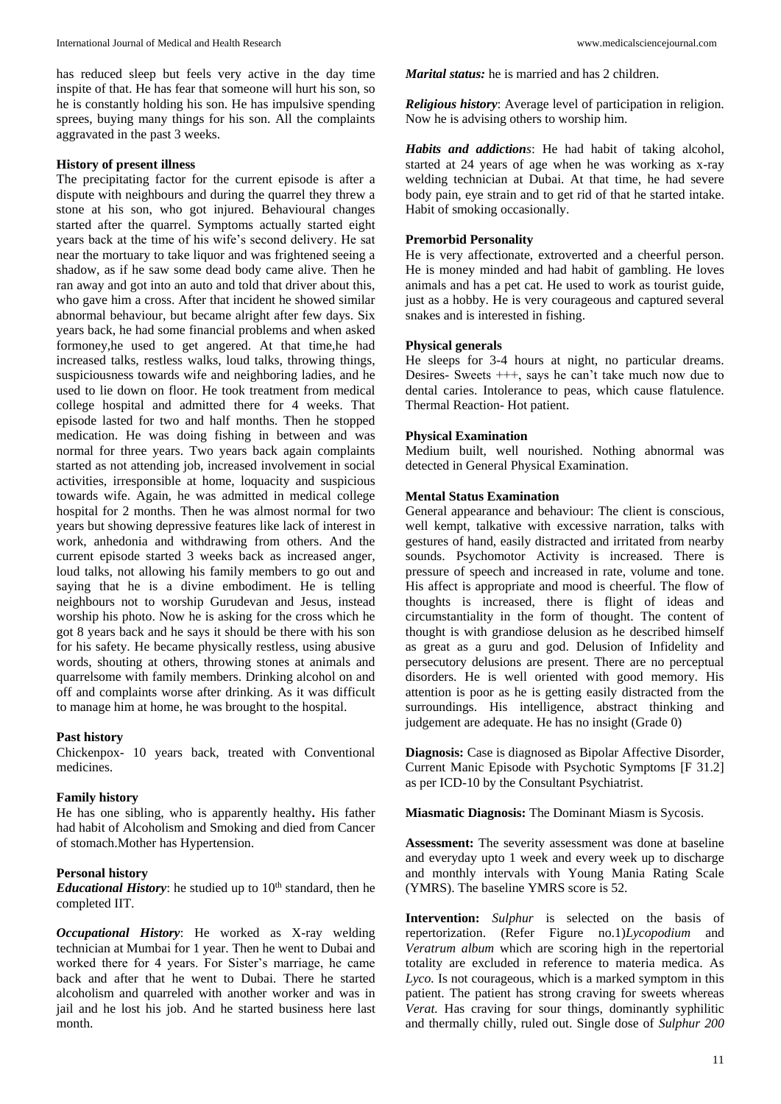has reduced sleep but feels very active in the day time inspite of that. He has fear that someone will hurt his son, so he is constantly holding his son. He has impulsive spending sprees, buying many things for his son. All the complaints aggravated in the past 3 weeks.

## **History of present illness**

The precipitating factor for the current episode is after a dispute with neighbours and during the quarrel they threw a stone at his son, who got injured. Behavioural changes started after the quarrel. Symptoms actually started eight years back at the time of his wife's second delivery. He sat near the mortuary to take liquor and was frightened seeing a shadow, as if he saw some dead body came alive. Then he ran away and got into an auto and told that driver about this, who gave him a cross. After that incident he showed similar abnormal behaviour, but became alright after few days. Six years back, he had some financial problems and when asked formoney,he used to get angered. At that time,he had increased talks, restless walks, loud talks, throwing things, suspiciousness towards wife and neighboring ladies, and he used to lie down on floor. He took treatment from medical college hospital and admitted there for 4 weeks. That episode lasted for two and half months. Then he stopped medication. He was doing fishing in between and was normal for three years. Two years back again complaints started as not attending job, increased involvement in social activities, irresponsible at home, loquacity and suspicious towards wife. Again, he was admitted in medical college hospital for 2 months. Then he was almost normal for two years but showing depressive features like lack of interest in work, anhedonia and withdrawing from others. And the current episode started 3 weeks back as increased anger, loud talks, not allowing his family members to go out and saying that he is a divine embodiment. He is telling neighbours not to worship Gurudevan and Jesus, instead worship his photo. Now he is asking for the cross which he got 8 years back and he says it should be there with his son for his safety. He became physically restless, using abusive words, shouting at others, throwing stones at animals and quarrelsome with family members. Drinking alcohol on and off and complaints worse after drinking. As it was difficult to manage him at home, he was brought to the hospital.

### **Past history**

Chickenpox- 10 years back, treated with Conventional medicines.

### **Family history**

He has one sibling, who is apparently healthy**.** His father had habit of Alcoholism and Smoking and died from Cancer of stomach.Mother has Hypertension.

## **Personal history**

*Educational History*: he studied up to  $10<sup>th</sup>$  standard, then he completed IIT.

*Occupational History*: He worked as X-ray welding technician at Mumbai for 1 year. Then he went to Dubai and worked there for 4 years. For Sister's marriage, he came back and after that he went to Dubai. There he started alcoholism and quarreled with another worker and was in jail and he lost his job. And he started business here last month.

*Marital status:* he is married and has 2 children.

*Religious history*: Average level of participation in religion. Now he is advising others to worship him.

*Habits and addictions*: He had habit of taking alcohol, started at 24 years of age when he was working as x-ray welding technician at Dubai. At that time, he had severe body pain, eye strain and to get rid of that he started intake. Habit of smoking occasionally.

#### **Premorbid Personality**

He is very affectionate, extroverted and a cheerful person. He is money minded and had habit of gambling. He loves animals and has a pet cat. He used to work as tourist guide, just as a hobby. He is very courageous and captured several snakes and is interested in fishing.

#### **Physical generals**

He sleeps for 3-4 hours at night, no particular dreams. Desires- Sweets +++, says he can't take much now due to dental caries. Intolerance to peas, which cause flatulence. Thermal Reaction- Hot patient.

### **Physical Examination**

Medium built, well nourished. Nothing abnormal was detected in General Physical Examination.

#### **Mental Status Examination**

General appearance and behaviour: The client is conscious, well kempt, talkative with excessive narration, talks with gestures of hand, easily distracted and irritated from nearby sounds. Psychomotor Activity is increased. There is pressure of speech and increased in rate, volume and tone. His affect is appropriate and mood is cheerful. The flow of thoughts is increased, there is flight of ideas and circumstantiality in the form of thought. The content of thought is with grandiose delusion as he described himself as great as a guru and god. Delusion of Infidelity and persecutory delusions are present. There are no perceptual disorders. He is well oriented with good memory. His attention is poor as he is getting easily distracted from the surroundings. His intelligence, abstract thinking and judgement are adequate. He has no insight (Grade 0)

**Diagnosis:** Case is diagnosed as Bipolar Affective Disorder, Current Manic Episode with Psychotic Symptoms [F 31.2] as per ICD-10 by the Consultant Psychiatrist.

**Miasmatic Diagnosis:** The Dominant Miasm is Sycosis.

**Assessment:** The severity assessment was done at baseline and everyday upto 1 week and every week up to discharge and monthly intervals with Young Mania Rating Scale (YMRS). The baseline YMRS score is 52.

**Intervention:** *Sulphur* is selected on the basis of repertorization. (Refer Figure no.1)*Lycopodium* and *Veratrum album* which are scoring high in the repertorial totality are excluded in reference to materia medica. As *Lyco.* Is not courageous, which is a marked symptom in this patient. The patient has strong craving for sweets whereas *Verat.* Has craving for sour things, dominantly syphilitic and thermally chilly, ruled out. Single dose of *Sulphur 200*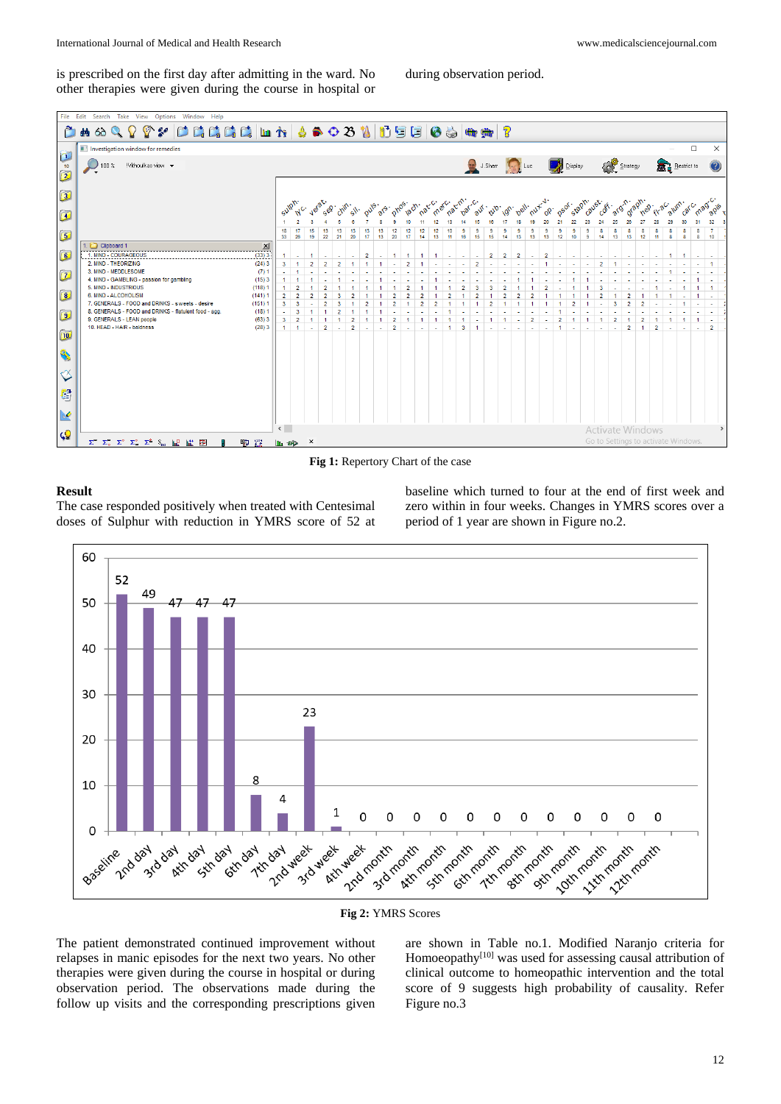is prescribed on the first day after admitting in the ward. No other therapies were given during the course in hospital or

during observation period.



**Fig 1:** Repertory Chart of the case

### **Result**

The case responded positively when treated with Centesimal doses of Sulphur with reduction in YMRS score of 52 at

baseline which turned to four at the end of first week and zero within in four weeks. Changes in YMRS scores over a period of 1 year are shown in Figure no.2.



**Fig 2:** YMRS Scores

The patient demonstrated continued improvement without relapses in manic episodes for the next two years. No other therapies were given during the course in hospital or during observation period. The observations made during the follow up visits and the corresponding prescriptions given

are shown in Table no.1. Modified Naranjo criteria for Homoeopathy<sup>[10]</sup> was used for assessing causal attribution of clinical outcome to homeopathic intervention and the total score of 9 suggests high probability of causality. Refer Figure no.3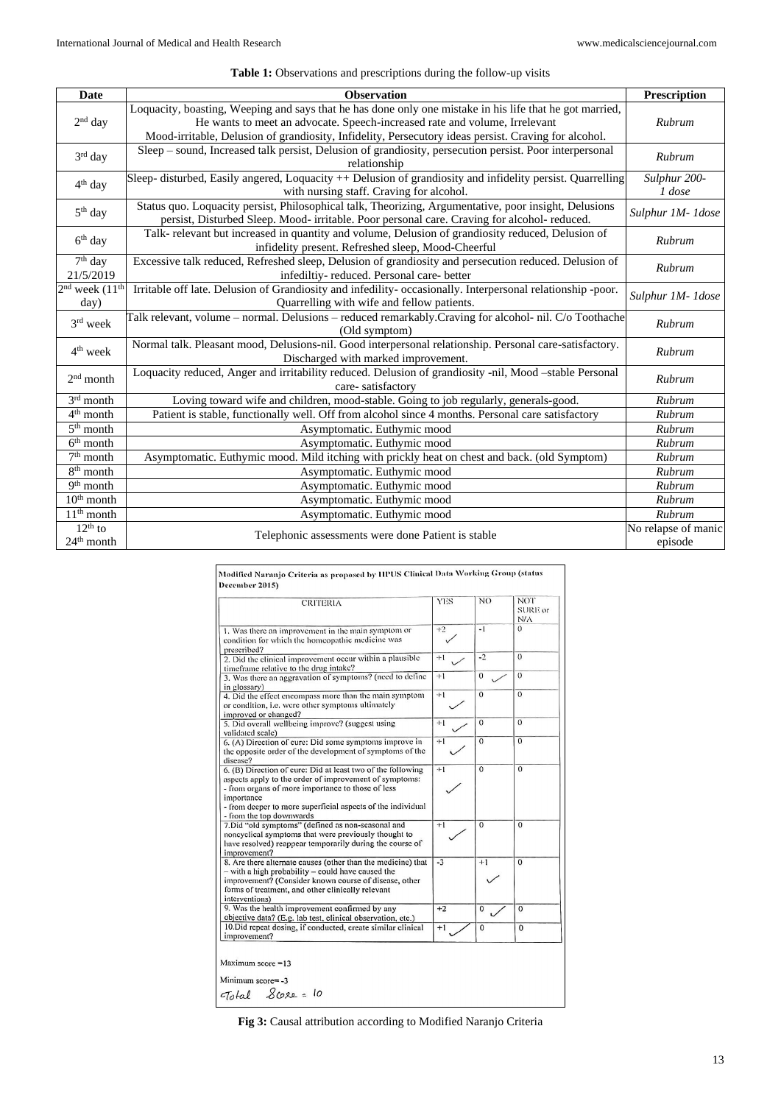| Table 1: Observations and prescriptions during the follow-up visits |  |  |  |  |
|---------------------------------------------------------------------|--|--|--|--|
|---------------------------------------------------------------------|--|--|--|--|

| <b>Date</b>                  | <b>Observation</b>                                                                                                                                                                                                                                                                             | Prescription                   |
|------------------------------|------------------------------------------------------------------------------------------------------------------------------------------------------------------------------------------------------------------------------------------------------------------------------------------------|--------------------------------|
| $2nd$ day                    | Loquacity, boasting, Weeping and says that he has done only one mistake in his life that he got married,<br>He wants to meet an advocate. Speech-increased rate and volume, Irrelevant<br>Mood-irritable, Delusion of grandiosity, Infidelity, Persecutory ideas persist. Craving for alcohol. | Rubrum                         |
| $3rd$ day                    | Sleep - sound, Increased talk persist, Delusion of grandiosity, persecution persist. Poor interpersonal<br>relationship                                                                                                                                                                        | Rubrum                         |
| $4th$ day                    | Sleep- disturbed, Easily angered, Loquacity ++ Delusion of grandiosity and infidelity persist. Quarrelling<br>with nursing staff. Craving for alcohol.                                                                                                                                         | Sulphur 200-<br>1 dose         |
| $5th$ day                    | Status quo. Loquacity persist, Philosophical talk, Theorizing, Argumentative, poor insight, Delusions<br>persist, Disturbed Sleep. Mood- irritable. Poor personal care. Craving for alcohol- reduced.                                                                                          | Sulphur 1M-1dose               |
| $6th$ day                    | Talk- relevant but increased in quantity and volume, Delusion of grandiosity reduced, Delusion of<br>infidelity present. Refreshed sleep, Mood-Cheerful                                                                                                                                        | Rubrum                         |
| $7th$ day<br>21/5/2019       | Excessive talk reduced, Refreshed sleep, Delusion of grandiosity and persecution reduced. Delusion of<br>infediltiy-reduced. Personal care-better                                                                                                                                              | Rubrum                         |
| $2nd$ week $(11th)$<br>day)  | Irritable off late. Delusion of Grandiosity and infedility- occasionally. Interpersonal relationship -poor.<br>Quarrelling with wife and fellow patients.                                                                                                                                      | Sulphur 1M- 1dose              |
| $3rd$ week                   | Talk relevant, volume - normal. Delusions - reduced remarkably. Craving for alcohol- nil. C/o Toothache<br>(Old symptom)                                                                                                                                                                       | Rubrum                         |
| $4th$ week                   | Normal talk. Pleasant mood, Delusions-nil. Good interpersonal relationship. Personal care-satisfactory.<br>Discharged with marked improvement.                                                                                                                                                 | Rubrum                         |
| $2nd$ month                  | Loquacity reduced, Anger and irritability reduced. Delusion of grandiosity -nil, Mood -stable Personal<br>care-satisfactory                                                                                                                                                                    | Rubrum                         |
| $3rd$ month                  | Loving toward wife and children, mood-stable. Going to job regularly, generals-good.                                                                                                                                                                                                           | Rubrum                         |
| 4 <sup>th</sup> month        | Patient is stable, functionally well. Off from alcohol since 4 months. Personal care satisfactory                                                                                                                                                                                              | Rubrum                         |
| $5th$ month                  | Asymptomatic. Euthymic mood                                                                                                                                                                                                                                                                    | Rubrum                         |
| $6th$ month                  | Asymptomatic. Euthymic mood                                                                                                                                                                                                                                                                    | Rubrum                         |
| $7th$ month                  | Asymptomatic. Euthymic mood. Mild itching with prickly heat on chest and back. (old Symptom)                                                                                                                                                                                                   | Rubrum                         |
| $8th$ month                  | Asymptomatic. Euthymic mood                                                                                                                                                                                                                                                                    | Rubrum                         |
| 9 <sup>th</sup> month        | Asymptomatic. Euthymic mood                                                                                                                                                                                                                                                                    | Rubrum                         |
| $10th$ month                 | Asymptomatic. Euthymic mood                                                                                                                                                                                                                                                                    | Rubrum                         |
| $11th$ month                 | Asymptomatic. Euthymic mood                                                                                                                                                                                                                                                                    | Rubrum                         |
| $12^{th}$ to<br>$24th$ month | Telephonic assessments were done Patient is stable                                                                                                                                                                                                                                             | No relapse of manic<br>episode |

| <b>CRITERIA</b>                                                                                                                                                                                                                                                                     | <b>YES</b> | NO.          | NOT <sup>.</sup><br>SURE or<br>N/A |
|-------------------------------------------------------------------------------------------------------------------------------------------------------------------------------------------------------------------------------------------------------------------------------------|------------|--------------|------------------------------------|
| 1. Was there an improvement in the main symptom or<br>condition for which the homeopathic medicine was<br>prescribed?                                                                                                                                                               | $+2$       | $-1$         | $\Omega$                           |
| 2. Did the elinical improvement occur within a plausible<br>timeframe relative to the drug intake?                                                                                                                                                                                  | $+1$       | $-2$         | $\Omega$                           |
| 3. Was there an aggravation of symptoms? (need to define<br>in glossary)                                                                                                                                                                                                            | $+1$       | $\mathbf{0}$ | $\sigma$                           |
| 4. Did the effect encompass more than the main symptom<br>or condition, i.e. were other symptoms ultimately<br>improved or changed?                                                                                                                                                 | $+1$       | $\Omega$     | $\theta$                           |
| 5. Did overall wellbeing improve? (suggest using<br>validated scale)                                                                                                                                                                                                                | $+1$       | $\Omega$     | $\Omega$                           |
| 6. (A) Direction of cure: Did some symptoms improve in<br>the opposite order of the development of symptoms of the<br>disease?                                                                                                                                                      | $+1$       | $\theta$     | $\Omega$                           |
| 6. (B) Direction of cure: Did at least two of the following<br>aspects apply to the order of improvement of symptoms:<br>- from organs of more importance to those of less<br>importance<br>- from deeper to more superficial aspects of the individual<br>- from the top downwards | $+1$       | $\Omega$     | $\Omega$                           |
| 7. Did "old symptoms" (defined as non-seasonal and<br>noncyclical symptoms that were previously thought to<br>have resolved) reappear temporarily during the course of<br>improvement?                                                                                              | $+1$       | $\mathbf{0}$ | $\overline{0}$                     |
| 8. Are there alternate causes (other than the medicine) that<br>$-$ with a high probability $-$ could have caused the<br>improvement? (Consider known course of disease, other<br>forms of treatment, and other clinically relevant<br>interventions)                               | $-3$       | $+1$         | $\Omega$                           |
| 9. Was the health improvement confirmed by any<br>objective data? (E.g. lab test, clinical observation, etc.)                                                                                                                                                                       | $+2$       | 0            | $\Omega$                           |
| 10. Did repeat dosing, if conducted, create similar clinical<br>improvement?                                                                                                                                                                                                        | $+1$       | 0            | $\mathbf{0}$                       |
| Maximum score $=13$                                                                                                                                                                                                                                                                 |            |              |                                    |
| $Minimum score = -3$                                                                                                                                                                                                                                                                |            |              |                                    |
| Total Score= 10                                                                                                                                                                                                                                                                     |            |              |                                    |

**Fig 3:** Causal attribution according to Modified Naranjo Criteria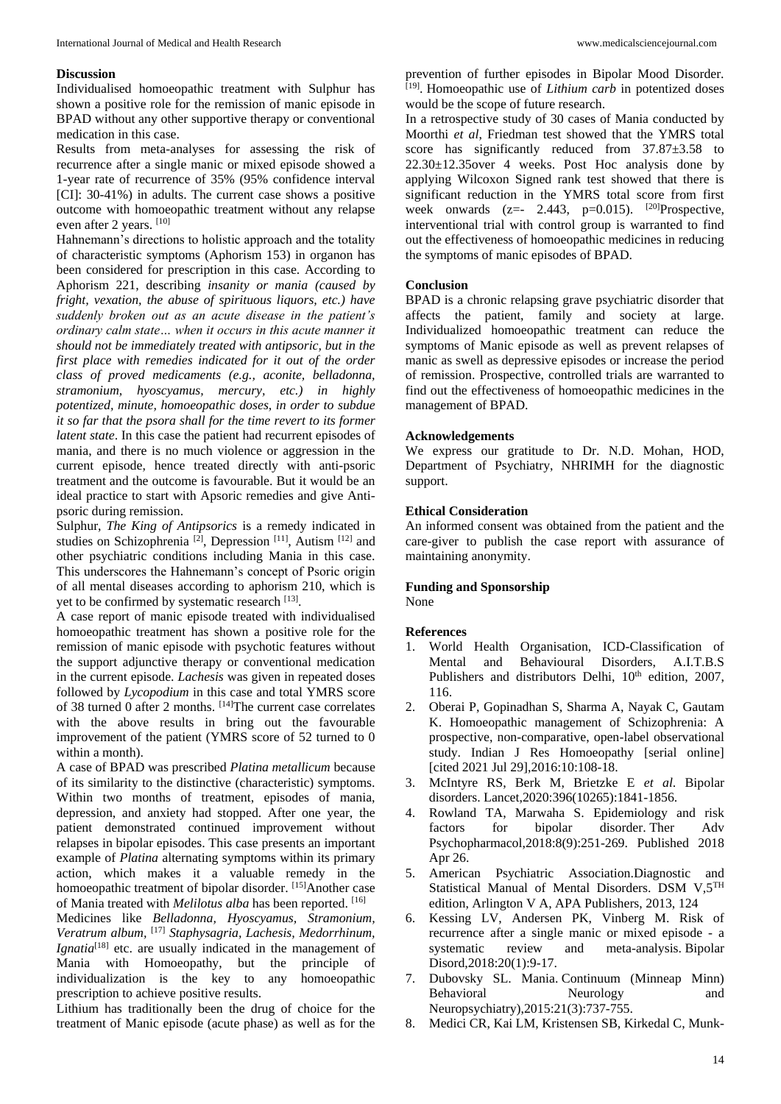### **Discussion**

Individualised homoeopathic treatment with Sulphur has shown a positive role for the remission of manic episode in BPAD without any other supportive therapy or conventional medication in this case.

Results from meta-analyses for assessing the risk of recurrence after a single manic or mixed episode showed a 1-year rate of recurrence of 35% (95% confidence interval [CI]: 30-41%) in adults. The current case shows a positive outcome with homoeopathic treatment without any relapse even after 2 years. [10]

Hahnemann's directions to holistic approach and the totality of characteristic symptoms (Aphorism 153) in organon has been considered for prescription in this case. According to Aphorism 221, describing *insanity or mania (caused by fright, vexation, the abuse of spirituous liquors, etc.) have suddenly broken out as an acute disease in the patient's ordinary calm state… when it occurs in this acute manner it should not be immediately treated with antipsoric, but in the first place with remedies indicated for it out of the order class of proved medicaments (e.g., aconite, belladonna, stramonium, hyoscyamus, mercury, etc.) in highly potentized, minute, homoeopathic doses, in order to subdue it so far that the psora shall for the time revert to its former latent state*. In this case the patient had recurrent episodes of mania, and there is no much violence or aggression in the current episode, hence treated directly with anti-psoric treatment and the outcome is favourable. But it would be an ideal practice to start with Apsoric remedies and give Antipsoric during remission.

Sulphur, *The King of Antipsorics* is a remedy indicated in studies on Schizophrenia  $^{[2]}$ , Depression  $^{[11]}$ , Autism  $^{[12]}$  and other psychiatric conditions including Mania in this case. This underscores the Hahnemann's concept of Psoric origin of all mental diseases according to aphorism 210, which is yet to be confirmed by systematic research [13].

A case report of manic episode treated with individualised homoeopathic treatment has shown a positive role for the remission of manic episode with psychotic features without the support adjunctive therapy or conventional medication in the current episode. *Lachesis* was given in repeated doses followed by *Lycopodium* in this case and total YMRS score of 38 turned 0 after 2 months. [14]The current case correlates with the above results in bring out the favourable improvement of the patient (YMRS score of 52 turned to 0 within a month).

A case of BPAD was prescribed *Platina metallicum* because of its similarity to the distinctive (characteristic) symptoms. Within two months of treatment, episodes of mania, depression, and anxiety had stopped. After one year, the patient demonstrated continued improvement without relapses in bipolar episodes. This case presents an important example of *Platina* alternating symptoms within its primary action, which makes it a valuable remedy in the homoeopathic treatment of bipolar disorder. [15] Another case of Mania treated with *Melilotus alba* has been reported. [16]

Medicines like *Belladonna, Hyoscyamus, Stramonium, Veratrum album,* [17] *Staphysagria, Lachesis, Medorrhinum, Ignatia*<sup>[18]</sup> etc. are usually indicated in the management of Mania with Homoeopathy, but the principle of individualization is the key to any homoeopathic prescription to achieve positive results.

Lithium has traditionally been the drug of choice for the treatment of Manic episode (acute phase) as well as for the

prevention of further episodes in Bipolar Mood Disorder. [19] . Homoeopathic use of *Lithium carb* in potentized doses would be the scope of future research.

In a retrospective study of 30 cases of Mania conducted by Moorthi *et al*, Friedman test showed that the YMRS total score has significantly reduced from  $37.87 \pm 3.58$  to 22.30±12.35over 4 weeks. Post Hoc analysis done by applying Wilcoxon Signed rank test showed that there is significant reduction in the YMRS total score from first week onwards (z=- 2.443, p=0.015).  $[20]$ Prospective, interventional trial with control group is warranted to find out the effectiveness of homoeopathic medicines in reducing the symptoms of manic episodes of BPAD.

#### **Conclusion**

BPAD is a chronic relapsing grave psychiatric disorder that affects the patient, family and society at large. Individualized homoeopathic treatment can reduce the symptoms of Manic episode as well as prevent relapses of manic as swell as depressive episodes or increase the period of remission. Prospective, controlled trials are warranted to find out the effectiveness of homoeopathic medicines in the management of BPAD.

#### **Acknowledgements**

We express our gratitude to Dr. N.D. Mohan, HOD, Department of Psychiatry, NHRIMH for the diagnostic support.

## **Ethical Consideration**

An informed consent was obtained from the patient and the care-giver to publish the case report with assurance of maintaining anonymity.

# **Funding and Sponsorship**

None

#### **References**

- 1. World Health Organisation, ICD-Classification of Mental and Behavioural Disorders, A.I.T.B.S Publishers and distributors Delhi,  $10<sup>th</sup>$  edition, 2007, 116.
- 2. Oberai P, Gopinadhan S, Sharma A, Nayak C, Gautam K. Homoeopathic management of Schizophrenia: A prospective, non-comparative, open-label observational study. Indian J Res Homoeopathy [serial online] [cited 2021 Jul 29],2016:10:108-18.
- 3. McIntyre RS, Berk M, Brietzke E *et al*. Bipolar disorders. Lancet,2020:396(10265):1841-1856.
- 4. Rowland TA, Marwaha S. Epidemiology and risk factors for bipolar disorder. Ther Adv Psychopharmacol,2018:8(9):251-269. Published 2018 Apr 26.
- 5. American Psychiatric Association.Diagnostic and Statistical Manual of Mental Disorders. DSM V,5TH edition, Arlington V A, APA Publishers, 2013, 124
- 6. Kessing LV, Andersen PK, Vinberg M. Risk of recurrence after a single manic or mixed episode - a systematic review and meta-analysis. Bipolar Disord,2018:20(1):9-17.
- 7. Dubovsky SL. Mania. Continuum (Minneap Minn) Behavioral Neurology and Neuropsychiatry),2015:21(3):737-755.
- 8. Medici CR, Kai LM, Kristensen SB, Kirkedal C, Munk-